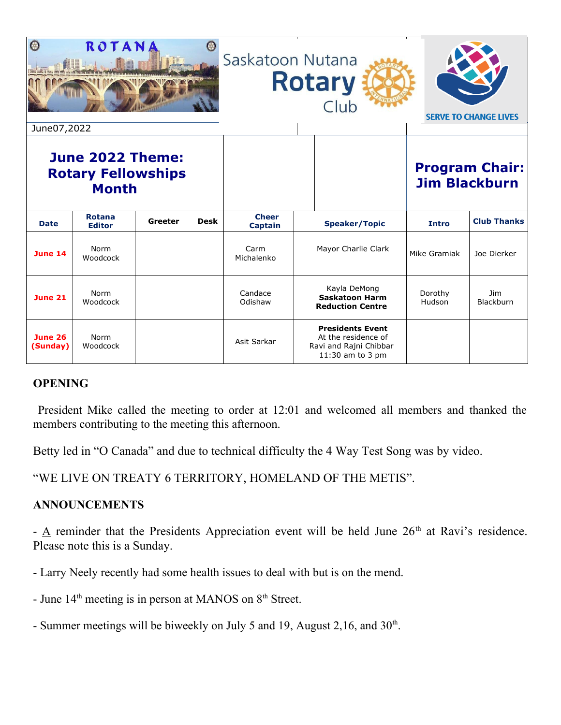| $\varnothing$<br>ROTANA<br>Saskatoon Nutana<br><b>Rotary</b><br>Club<br><b>SERVE TO CHANGE LIVES</b><br>June07,2022 |                         |         |             |                         |  |                                                                                              |                                               |                    |
|---------------------------------------------------------------------------------------------------------------------|-------------------------|---------|-------------|-------------------------|--|----------------------------------------------------------------------------------------------|-----------------------------------------------|--------------------|
| June 2022 Theme:<br><b>Rotary Fellowships</b><br><b>Month</b>                                                       |                         |         |             |                         |  |                                                                                              | <b>Program Chair:</b><br><b>Jim Blackburn</b> |                    |
| <b>Date</b>                                                                                                         | Rotana<br><b>Editor</b> | Greeter | <b>Desk</b> | <b>Cheer</b><br>Captain |  | <b>Speaker/Topic</b>                                                                         | Intro                                         | <b>Club Thanks</b> |
| June 14                                                                                                             | Norm<br>Woodcock        |         |             | Carm<br>Michalenko      |  | Mayor Charlie Clark                                                                          | Mike Gramiak                                  | Joe Dierker        |
| <b>June 21</b>                                                                                                      | Norm<br>Woodcock        |         |             | Candace<br>Odishaw      |  | Kayla DeMong<br><b>Saskatoon Harm</b><br><b>Reduction Centre</b>                             | Dorothy<br>Hudson                             | Jim.<br>Blackburn  |
| <b>June 26</b><br>(Sunday)                                                                                          | Norm<br>Woodcock        |         |             | Asit Sarkar             |  | <b>Presidents Event</b><br>At the residence of<br>Ravi and Rajni Chibbar<br>11:30 am to 3 pm |                                               |                    |

# **OPENING**

President Mike called the meeting to order at 12:01 and welcomed all members and thanked the members contributing to the meeting this afternoon.

Betty led in "O Canada" and due to technical difficulty the 4 Way Test Song was by video.

"WE LIVE ON TREATY 6 TERRITORY, HOMELAND OF THE METIS".

## **ANNOUNCEMENTS**

 $\underline{A}$  reminder that the Presidents Appreciation event will be held June 26<sup>th</sup> at Ravi's residence. Please note this is a Sunday.

- Larry Neely recently had some health issues to deal with but is on the mend.

- June  $14<sup>th</sup>$  meeting is in person at MANOS on  $8<sup>th</sup>$  Street.

- Summer meetings will be biweekly on July 5 and 19, August 2,16, and  $30<sup>th</sup>$ .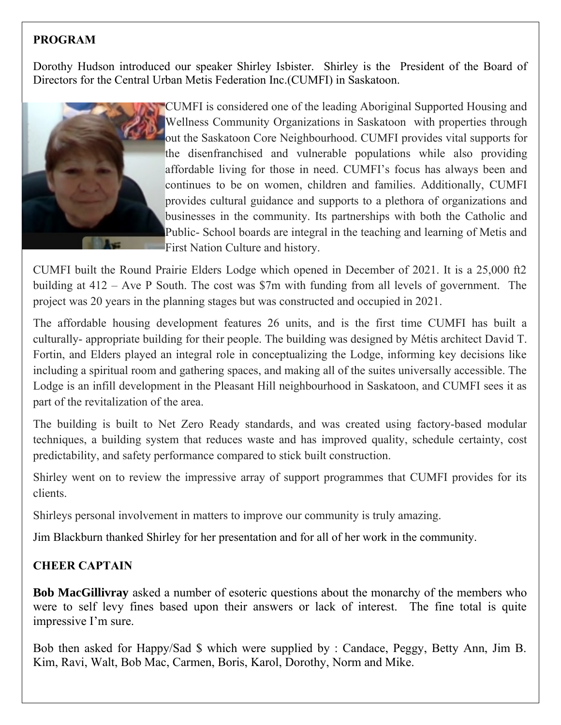# **PROGRAM**

Dorothy Hudson introduced our speaker Shirley Isbister. Shirley is the President of the Board of Directors for the Central Urban Metis Federation Inc.(CUMFI) in Saskatoon.



CUMFI is considered one of the leading Aboriginal Supported Housing and Wellness Community Organizations in Saskatoon with properties through out the Saskatoon Core Neighbourhood. CUMFI provides vital supports for the disenfranchised and vulnerable populations while also providing affordable living for those in need. CUMFI's focus has always been and continues to be on women, children and families. Additionally, CUMFI provides cultural guidance and supports to a plethora of organizations and businesses in the community. Its partnerships with both the Catholic and Public- School boards are integral in the teaching and learning of Metis and First Nation Culture and history.

CUMFI built the Round Prairie Elders Lodge which opened in December of 2021. It is a 25,000 ft2 building at 412 – Ave P South. The cost was \$7m with funding from all levels of government. The project was 20 years in the planning stages but was constructed and occupied in 2021.

The affordable housing development features 26 units, and is the first time CUMFI has built a culturally- appropriate building for their people. The building was designed by Métis architect David T. Fortin, and Elders played an integral role in conceptualizing the Lodge, informing key decisions like including a spiritual room and gathering spaces, and making all of the suites universally accessible. The Lodge is an infill development in the Pleasant Hill neighbourhood in Saskatoon, and CUMFI sees it as part of the revitalization of the area.

The building is built to Net Zero Ready standards, and was created using factory-based modular techniques, a building system that reduces waste and has improved quality, schedule certainty, cost predictability, and safety performance compared to stick built construction.

Shirley went on to review the impressive array of support programmes that CUMFI provides for its clients.

Shirleys personal involvement in matters to improve our community is truly amazing.

Jim Blackburn thanked Shirley for her presentation and for all of her work in the community.

## **CHEER CAPTAIN**

**Bob MacGillivray** asked a number of esoteric questions about the monarchy of the members who were to self levy fines based upon their answers or lack of interest. The fine total is quite impressive I'm sure.

Bob then asked for Happy/Sad \$ which were supplied by : Candace, Peggy, Betty Ann, Jim B. Kim, Ravi, Walt, Bob Mac, Carmen, Boris, Karol, Dorothy, Norm and Mike.